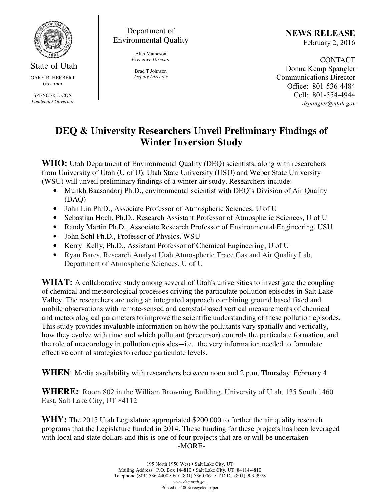

State of Utah GARY R. HERBERT *Governor* 

SPENCER J. COX *Lieutenant Governor* 

Department of Environmental Quality

> Alan Matheson *Executive Director*

Brad T Johnson *Deputy Director*  NEWS RELEASE February 2, 2016

CONTACT Donna Kemp Spangler Communications Director Office: 801-536-4484 Cell: 801-554-4944 dspangler@utah.gov

## **DEQ & University Researchers Unveil Preliminary Findings of Winter Inversion Study**

WHO: Utah Department of Environmental Quality (DEQ) scientists, along with researchers from University of Utah (U of U), Utah State University (USU) and Weber State University (WSU) will unveil preliminary findings of a winter air study. Researchers include:

- Munkh Baasandorj Ph.D., environmental scientist with DEO's Division of Air Quality (DAQ)
- John Lin Ph.D., Associate Professor of Atmospheric Sciences, U of U
- Sebastian Hoch, Ph.D., Research Assistant Professor of Atmospheric Sciences, U of U
- Randy Martin Ph.D., Associate Research Professor of Environmental Engineering, USU
- John Sohl Ph.D., Professor of Physics, WSU
- Kerry Kelly, Ph.D., Assistant Professor of Chemical Engineering, U of U
- Ryan Bares, Research Analyst Utah Atmospheric Trace Gas and Air Quality Lab, Department of Atmospheric Sciences, U of U

WHAT: A collaborative study among several of Utah's universities to investigate the coupling of chemical and meteorological processes driving the particulate pollution episodes in Salt Lake Valley. The researchers are using an integrated approach combining ground based fixed and mobile observations with remote-sensed and aerostat-based vertical measurements of chemical and meteorological parameters to improve the scientific understanding of these pollution episodes. This study provides invaluable information on how the pollutants vary spatially and vertically, how they evolve with time and which pollutant (precursor) controls the particulate formation, and the role of meteorology in pollution episodes—i.e., the very information needed to formulate effective control strategies to reduce particulate levels.

**WHEN**: Media availability with researchers between noon and 2 p.m, Thursday, February 4

**WHERE:** Room 802 in the William Browning Building, University of Utah, 135 South 1460 East, Salt Lake City, UT 84112

**WHY:** The 2015 Utah Legislature appropriated \$200,000 to further the air quality research programs that the Legislature funded in 2014. These funding for these projects has been leveraged with local and state dollars and this is one of four projects that are or will be undertaken -MORE-